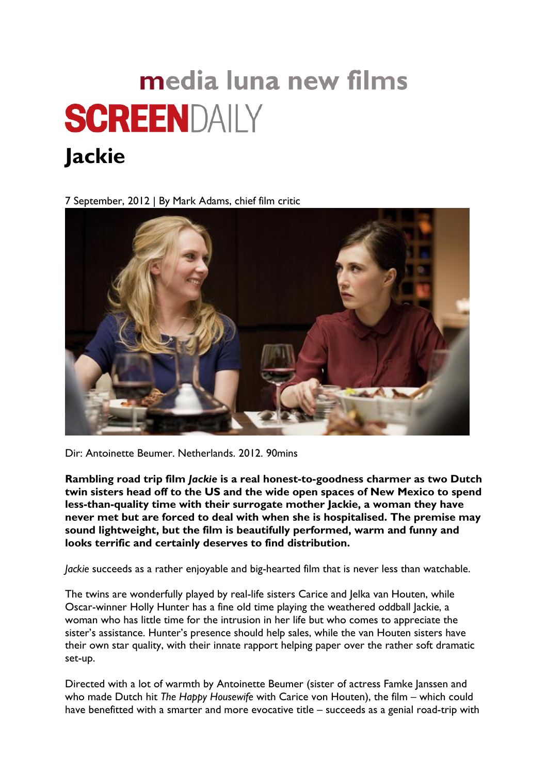## media luna new films **SCREENDAILY**

## **Jackie**

7 September, 2012 | By Mark Adams, chief film critic



Dir: Antoinette Beumer. Netherlands. 2012. 90mins

**Rambling road trip film** *Jackie* **is a real honest-to-goodness charmer as two Dutch twin sisters head off to the US and the wide open spaces of New Mexico to spend less-than-quality time with their surrogate mother Jackie, a woman they have never met but are forced to deal with when she is hospitalised. The premise may sound lightweight, but the film is beautifully performed, warm and funny and looks terrific and certainly deserves to find distribution.**

*Jackie* succeeds as a rather enjoyable and big-hearted film that is never less than watchable.

The twins are wonderfully played by real-life sisters Carice and Jelka van Houten, while Oscar-winner Holly Hunter has a fine old time playing the weathered oddball Jackie, a woman who has little time for the intrusion in her life but who comes to appreciate the sister's assistance. Hunter's presence should help sales, while the van Houten sisters have their own star quality, with their innate rapport helping paper over the rather soft dramatic set-up.

Directed with a lot of warmth by Antoinette Beumer (sister of actress Famke Janssen and who made Dutch hit *The Happy Housewife* with Carice von Houten), the film – which could have benefitted with a smarter and more evocative title – succeeds as a genial road-trip with